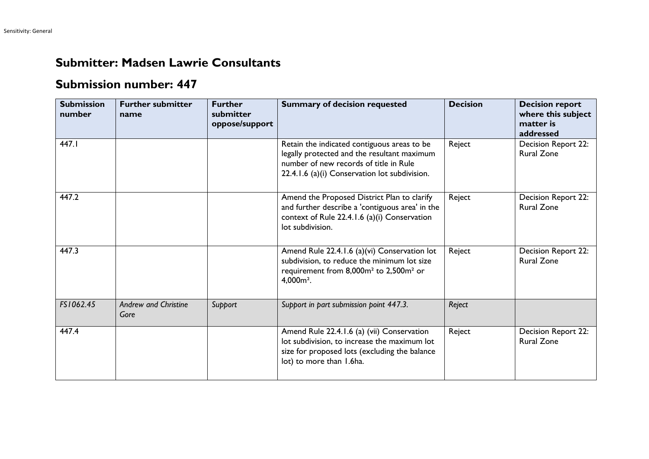## **Submitter: Madsen Lawrie Consultants**

## **Submission number: 447**

| <b>Submission</b><br>number | <b>Further submitter</b><br>name    | <b>Further</b><br>submitter<br>oppose/support | <b>Summary of decision requested</b>                                                                                                                                                  | <b>Decision</b> | <b>Decision report</b><br>where this subject<br>matter is<br>addressed |
|-----------------------------|-------------------------------------|-----------------------------------------------|---------------------------------------------------------------------------------------------------------------------------------------------------------------------------------------|-----------------|------------------------------------------------------------------------|
| 447.I                       |                                     |                                               | Retain the indicated contiguous areas to be<br>legally protected and the resultant maximum<br>number of new records of title in Rule<br>22.4.1.6 (a)(i) Conservation lot subdivision. | Reject          | Decision Report 22:<br><b>Rural Zone</b>                               |
| 447.2                       |                                     |                                               | Amend the Proposed District Plan to clarify<br>and further describe a 'contiguous area' in the<br>context of Rule 22.4.1.6 (a)(i) Conservation<br>lot subdivision.                    | Reject          | Decision Report 22:<br><b>Rural Zone</b>                               |
| 447.3                       |                                     |                                               | Amend Rule 22.4.1.6 (a)(vi) Conservation lot<br>subdivision, to reduce the minimum lot size<br>requirement from 8,000m <sup>2</sup> to 2,500m <sup>2</sup> or<br>$4,000m2$ .          | Reject          | Decision Report 22:<br><b>Rural Zone</b>                               |
| FS1062.45                   | <b>Andrew and Christine</b><br>Gore | Support                                       | Support in part submission point 447.3.                                                                                                                                               | Reject          |                                                                        |
| 447.4                       |                                     |                                               | Amend Rule 22.4.1.6 (a) (vii) Conservation<br>lot subdivision, to increase the maximum lot<br>size for proposed lots (excluding the balance<br>lot) to more than 1.6ha.               | Reject          | Decision Report 22:<br><b>Rural Zone</b>                               |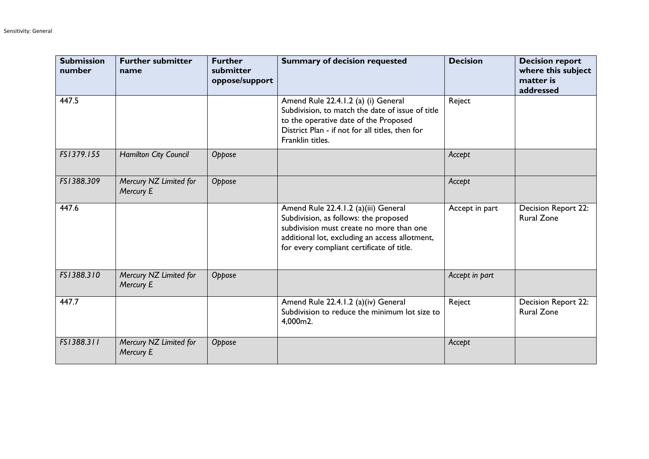| <b>Submission</b><br>number | <b>Further submitter</b><br>name    | <b>Further</b><br>submitter<br>oppose/support | <b>Summary of decision requested</b>                                                                                                                                                                                     | <b>Decision</b> | <b>Decision report</b><br>where this subject<br>matter is<br>addressed |
|-----------------------------|-------------------------------------|-----------------------------------------------|--------------------------------------------------------------------------------------------------------------------------------------------------------------------------------------------------------------------------|-----------------|------------------------------------------------------------------------|
| 447.5                       |                                     |                                               | Amend Rule 22.4.1.2 (a) (i) General<br>Subdivision, to match the date of issue of title<br>to the operative date of the Proposed<br>District Plan - if not for all titles, then for<br>Franklin titles.                  | Reject          |                                                                        |
| FS1379.155                  | Hamilton City Council               | Oppose                                        |                                                                                                                                                                                                                          | Accept          |                                                                        |
| FS1388.309                  | Mercury NZ Limited for<br>Mercury E | Oppose                                        |                                                                                                                                                                                                                          | Accept          |                                                                        |
| 447.6                       |                                     |                                               | Amend Rule 22.4.1.2 (a)(iii) General<br>Subdivision, as follows: the proposed<br>subdivision must create no more than one<br>additional lot, excluding an access allotment,<br>for every compliant certificate of title. | Accept in part  | Decision Report 22:<br><b>Rural Zone</b>                               |
| FS1388.310                  | Mercury NZ Limited for<br>Mercury E | Oppose                                        |                                                                                                                                                                                                                          | Accept in part  |                                                                        |
| 447.7                       |                                     |                                               | Amend Rule 22.4.1.2 (a)(iv) General<br>Subdivision to reduce the minimum lot size to<br>4,000m2.                                                                                                                         | Reject          | Decision Report 22:<br><b>Rural Zone</b>                               |
| FS1388.311                  | Mercury NZ Limited for<br>Mercury E | Oppose                                        |                                                                                                                                                                                                                          | Accept          |                                                                        |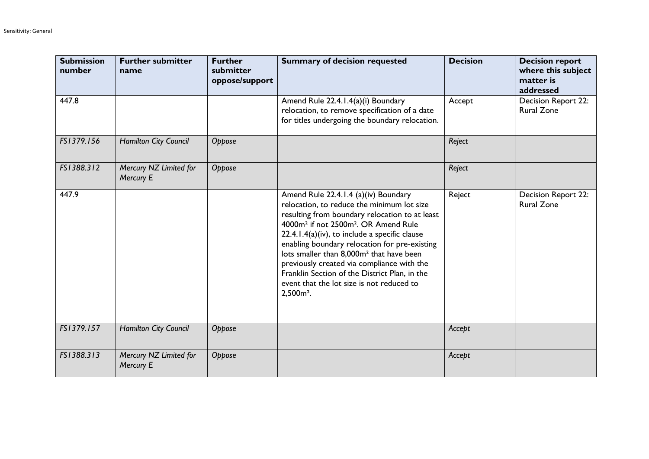| <b>Submission</b><br>number | <b>Further submitter</b><br>name    | <b>Further</b><br>submitter<br>oppose/support | <b>Summary of decision requested</b>                                                                                                                                                                                                                                                                                                                                                                                                                                                                                         | <b>Decision</b> | <b>Decision report</b><br>where this subject<br>matter is<br>addressed |
|-----------------------------|-------------------------------------|-----------------------------------------------|------------------------------------------------------------------------------------------------------------------------------------------------------------------------------------------------------------------------------------------------------------------------------------------------------------------------------------------------------------------------------------------------------------------------------------------------------------------------------------------------------------------------------|-----------------|------------------------------------------------------------------------|
| 447.8                       |                                     |                                               | Amend Rule 22.4.1.4(a)(i) Boundary<br>relocation, to remove specification of a date<br>for titles undergoing the boundary relocation.                                                                                                                                                                                                                                                                                                                                                                                        | Accept          | Decision Report 22:<br><b>Rural Zone</b>                               |
| FS1379.156                  | <b>Hamilton City Council</b>        | Oppose                                        |                                                                                                                                                                                                                                                                                                                                                                                                                                                                                                                              | Reject          |                                                                        |
| FS1388.312                  | Mercury NZ Limited for<br>Mercury E | Oppose                                        |                                                                                                                                                                                                                                                                                                                                                                                                                                                                                                                              | Reject          |                                                                        |
| 447.9                       |                                     |                                               | Amend Rule 22.4.1.4 (a)(iv) Boundary<br>relocation, to reduce the minimum lot size<br>resulting from boundary relocation to at least<br>4000m <sup>2</sup> if not 2500m <sup>2</sup> . OR Amend Rule<br>$22.4.1.4(a)$ (iv), to include a specific clause<br>enabling boundary relocation for pre-existing<br>lots smaller than 8,000m <sup>2</sup> that have been<br>previously created via compliance with the<br>Franklin Section of the District Plan, in the<br>event that the lot size is not reduced to<br>$2,500m2$ . | Reject          | Decision Report 22:<br><b>Rural Zone</b>                               |
| FS1379.157                  | Hamilton City Council               | Oppose                                        |                                                                                                                                                                                                                                                                                                                                                                                                                                                                                                                              | Accept          |                                                                        |
| FS1388.313                  | Mercury NZ Limited for<br>Mercury E | Oppose                                        |                                                                                                                                                                                                                                                                                                                                                                                                                                                                                                                              | Accept          |                                                                        |